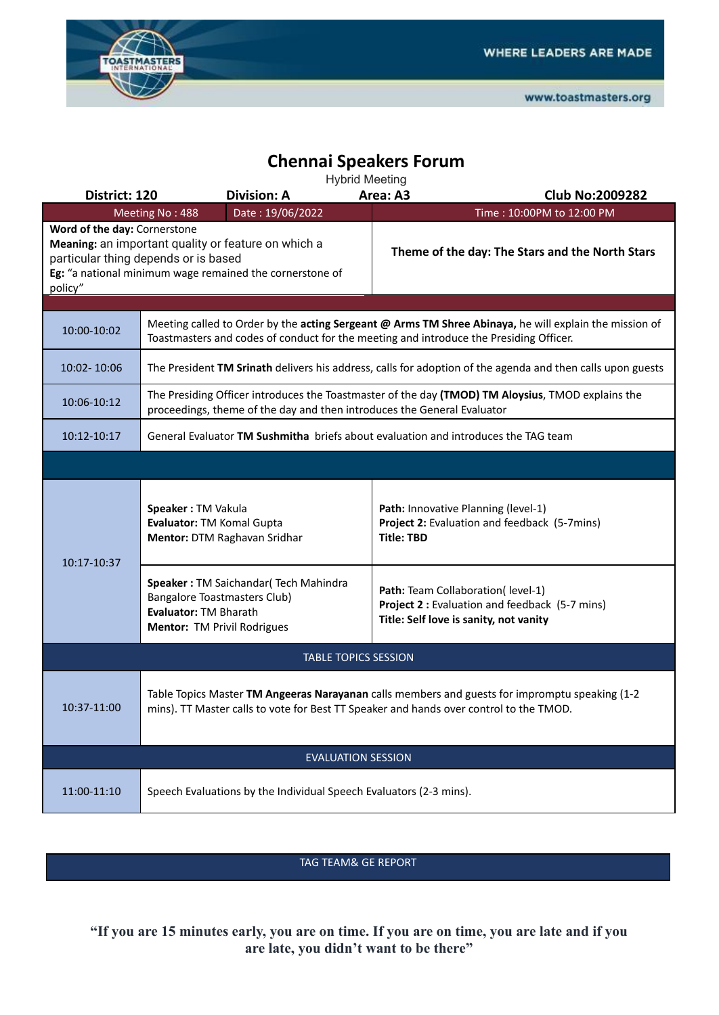

## **Chennai Speakers Forum**

Hybrid Meeting

| District: 120                           | <b>Division: A</b>                                                                                                                                                                               | ттурна плесину<br>Area: A3<br><b>Club No:2009282</b>                                                                           |  |  |  |
|-----------------------------------------|--------------------------------------------------------------------------------------------------------------------------------------------------------------------------------------------------|--------------------------------------------------------------------------------------------------------------------------------|--|--|--|
|                                         | Date: 19/06/2022<br>Meeting No: 488                                                                                                                                                              | Time: 10:00PM to 12:00 PM                                                                                                      |  |  |  |
| Word of the day: Cornerstone<br>policy" | Meaning: an important quality or feature on which a<br>particular thing depends or is based<br>Eg: "a national minimum wage remained the cornerstone of                                          | Theme of the day: The Stars and the North Stars                                                                                |  |  |  |
|                                         |                                                                                                                                                                                                  |                                                                                                                                |  |  |  |
| 10:00-10:02                             | Meeting called to Order by the acting Sergeant @ Arms TM Shree Abinaya, he will explain the mission of<br>Toastmasters and codes of conduct for the meeting and introduce the Presiding Officer. |                                                                                                                                |  |  |  |
| 10:02-10:06                             | The President TM Srinath delivers his address, calls for adoption of the agenda and then calls upon guests                                                                                       |                                                                                                                                |  |  |  |
| 10:06-10:12                             | The Presiding Officer introduces the Toastmaster of the day (TMOD) TM Aloysius, TMOD explains the<br>proceedings, theme of the day and then introduces the General Evaluator                     |                                                                                                                                |  |  |  |
| 10:12-10:17                             | General Evaluator TM Sushmitha briefs about evaluation and introduces the TAG team                                                                                                               |                                                                                                                                |  |  |  |
|                                         |                                                                                                                                                                                                  |                                                                                                                                |  |  |  |
| 10:17-10:37                             | Speaker: TM Vakula<br>Evaluator: TM Komal Gupta<br>Mentor: DTM Raghavan Sridhar                                                                                                                  | Path: Innovative Planning (level-1)<br>Project 2: Evaluation and feedback (5-7mins)<br><b>Title: TBD</b>                       |  |  |  |
|                                         | Speaker: TM Saichandar(Tech Mahindra<br>Bangalore Toastmasters Club)<br>Evaluator: TM Bharath<br>Mentor: TM Privil Rodrigues                                                                     | Path: Team Collaboration( level-1)<br>Project 2 : Evaluation and feedback (5-7 mins)<br>Title: Self love is sanity, not vanity |  |  |  |
| <b>TABLE TOPICS SESSION</b>             |                                                                                                                                                                                                  |                                                                                                                                |  |  |  |
| 10:37-11:00                             | Table Topics Master TM Angeeras Narayanan calls members and guests for impromptu speaking (1-2<br>mins). TT Master calls to vote for Best TT Speaker and hands over control to the TMOD.         |                                                                                                                                |  |  |  |
| <b>EVALUATION SESSION</b>               |                                                                                                                                                                                                  |                                                                                                                                |  |  |  |
| 11:00-11:10                             | Speech Evaluations by the Individual Speech Evaluators (2-3 mins).                                                                                                                               |                                                                                                                                |  |  |  |

TAG TEAM& GE REPORT

**"If you are 15 minutes early, you are on time. If you are on time, you are late and if you are late, you didn't want to be there"**